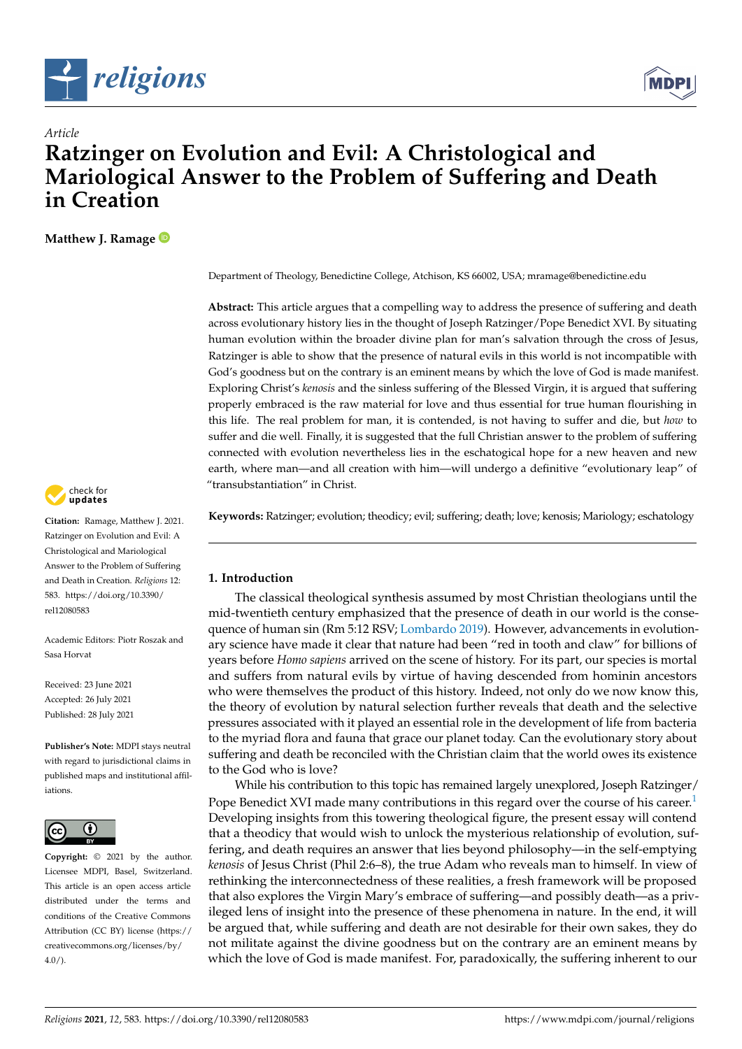



# *Article* **Ratzinger on Evolution and Evil: A Christological and Mariological Answer to the Problem of Suffering and Death in Creation**

**Matthew J. Ramage**

check for updates

**Citation:** Ramage, Matthew J. 2021. Ratzinger on Evolution and Evil: A Christological and Mariological Answer to the Problem of Suffering and Death in Creation. *Religions* 12: 583. [https://doi.org/10.3390/](https://doi.org/10.3390/rel12080583) [rel12080583](https://doi.org/10.3390/rel12080583)

Academic Editors: Piotr Roszak and Sasa Horvat

Received: 23 June 2021 Accepted: 26 July 2021 Published: 28 July 2021

**Publisher's Note:** MDPI stays neutral with regard to jurisdictional claims in published maps and institutional affiliations.



**Copyright:** © 2021 by the author. Licensee MDPI, Basel, Switzerland. This article is an open access article distributed under the terms and conditions of the Creative Commons Attribution (CC BY) license (https:/[/](https://creativecommons.org/licenses/by/4.0/) [creativecommons.org/licenses/by/](https://creativecommons.org/licenses/by/4.0/)  $4.0/$ ).

Department of Theology, Benedictine College, Atchison, KS 66002, USA; mramage@benedictine.edu

**Abstract:** This article argues that a compelling way to address the presence of suffering and death across evolutionary history lies in the thought of Joseph Ratzinger/Pope Benedict XVI. By situating human evolution within the broader divine plan for man's salvation through the cross of Jesus, Ratzinger is able to show that the presence of natural evils in this world is not incompatible with God's goodness but on the contrary is an eminent means by which the love of God is made manifest. Exploring Christ's *kenosis* and the sinless suffering of the Blessed Virgin, it is argued that suffering properly embraced is the raw material for love and thus essential for true human flourishing in this life. The real problem for man, it is contended, is not having to suffer and die, but *how* to suffer and die well. Finally, it is suggested that the full Christian answer to the problem of suffering connected with evolution nevertheless lies in the eschatogical hope for a new heaven and new earth, where man—and all creation with him—will undergo a definitive "evolutionary leap" of "transubstantiation" in Christ.

**Keywords:** Ratzinger; evolution; theodicy; evil; suffering; death; love; kenosis; Mariology; eschatology

## **1. Introduction**

The classical theological synthesis assumed by most Christian theologians until the mid-twentieth century emphasized that the presence of death in our world is the consequence of human sin (Rm 5:12 RSV; [Lombardo](#page-11-0) [2019\)](#page-11-0). However, advancements in evolutionary science have made it clear that nature had been "red in tooth and claw" for billions of years before *Homo sapiens* arrived on the scene of history. For its part, our species is mortal and suffers from natural evils by virtue of having descended from hominin ancestors who were themselves the product of this history. Indeed, not only do we now know this, the theory of evolution by natural selection further reveals that death and the selective pressures associated with it played an essential role in the development of life from bacteria to the myriad flora and fauna that grace our planet today. Can the evolutionary story about suffering and death be reconciled with the Christian claim that the world owes its existence to the God who is love?

<span id="page-0-0"></span>While his contribution to this topic has remained largely unexplored, Joseph Ratzinger/ Pope Benedict XVI made many contributions in this regard over the course of his career.<sup>[1](#page-11-1)</sup> Developing insights from this towering theological figure, the present essay will contend that a theodicy that would wish to unlock the mysterious relationship of evolution, suffering, and death requires an answer that lies beyond philosophy—in the self-emptying *kenosis* of Jesus Christ (Phil 2:6–8), the true Adam who reveals man to himself. In view of rethinking the interconnectedness of these realities, a fresh framework will be proposed that also explores the Virgin Mary's embrace of suffering—and possibly death—as a privileged lens of insight into the presence of these phenomena in nature. In the end, it will be argued that, while suffering and death are not desirable for their own sakes, they do not militate against the divine goodness but on the contrary are an eminent means by which the love of God is made manifest. For, paradoxically, the suffering inherent to our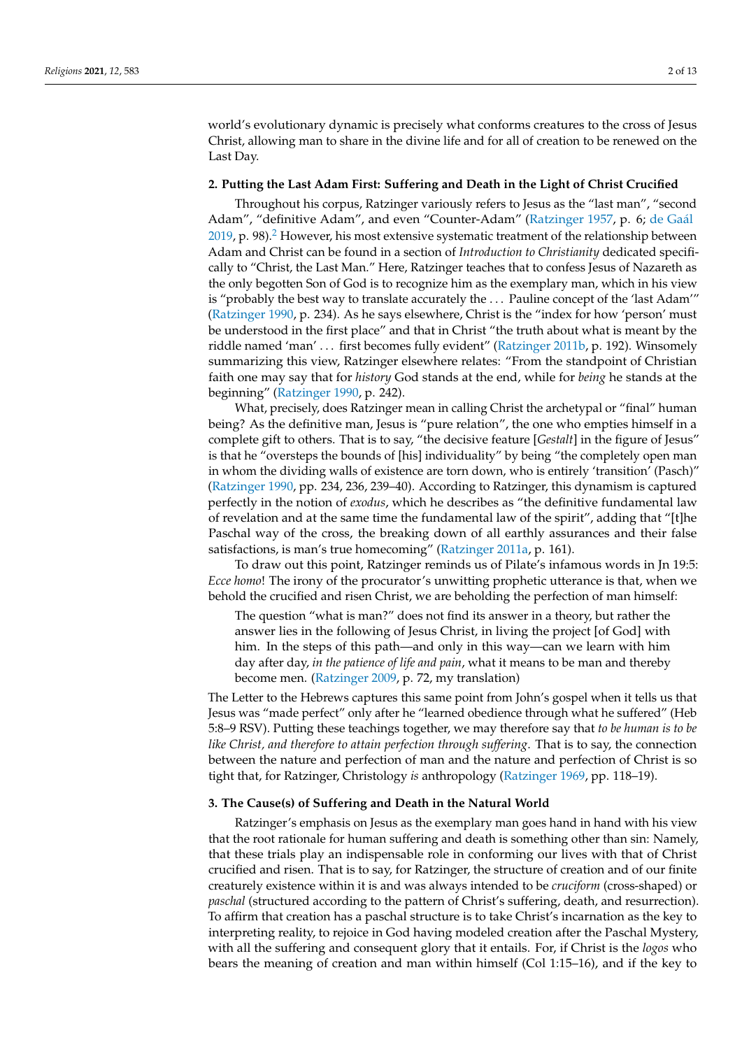world's evolutionary dynamic is precisely what conforms creatures to the cross of Jesus Christ, allowing man to share in the divine life and for all of creation to be renewed on the Last Day.

## **2. Putting the Last Adam First: Suffering and Death in the Light of Christ Crucified**

<span id="page-1-0"></span>Throughout his corpus, Ratzinger variously refers to Jesus as the "last man", "second Adam", "definitive Adam", and even "Counter-Adam" [\(Ratzinger](#page-11-2) [1957,](#page-11-2) p. 6; [de Ga](#page-11-3)ál [2019,](#page-11-3) p. 98).<sup>[2](#page-11-4)</sup> However, his most extensive systematic treatment of the relationship between Adam and Christ can be found in a section of *Introduction to Christianity* dedicated specifically to "Christ, the Last Man." Here, Ratzinger teaches that to confess Jesus of Nazareth as the only begotten Son of God is to recognize him as the exemplary man, which in his view is "probably the best way to translate accurately the . . . Pauline concept of the 'last Adam'" [\(Ratzinger](#page-12-0) [1990,](#page-12-0) p. 234). As he says elsewhere, Christ is the "index for how 'person' must be understood in the first place" and that in Christ "the truth about what is meant by the riddle named 'man' . . . first becomes fully evident" [\(Ratzinger](#page-12-1) [2011b,](#page-12-1) p. 192). Winsomely summarizing this view, Ratzinger elsewhere relates: "From the standpoint of Christian faith one may say that for *history* God stands at the end, while for *being* he stands at the beginning" [\(Ratzinger](#page-12-0) [1990,](#page-12-0) p. 242).

What, precisely, does Ratzinger mean in calling Christ the archetypal or "final" human being? As the definitive man, Jesus is "pure relation", the one who empties himself in a complete gift to others. That is to say, "the decisive feature [*Gestalt*] in the figure of Jesus" is that he "oversteps the bounds of [his] individuality" by being "the completely open man in whom the dividing walls of existence are torn down, who is entirely 'transition' (Pasch)" [\(Ratzinger](#page-12-0) [1990,](#page-12-0) pp. 234, 236, 239–40). According to Ratzinger, this dynamism is captured perfectly in the notion of *exodus*, which he describes as "the definitive fundamental law of revelation and at the same time the fundamental law of the spirit", adding that "[t]he Paschal way of the cross, the breaking down of all earthly assurances and their false satisfactions, is man's true homecoming" [\(Ratzinger](#page-12-2) [2011a,](#page-12-2) p. 161).

To draw out this point, Ratzinger reminds us of Pilate's infamous words in Jn 19:5: *Ecce homo*! The irony of the procurator's unwitting prophetic utterance is that, when we behold the crucified and risen Christ, we are beholding the perfection of man himself:

The question "what is man?" does not find its answer in a theory, but rather the answer lies in the following of Jesus Christ, in living the project [of God] with him. In the steps of this path—and only in this way—can we learn with him day after day, *in the patience of life and pain*, what it means to be man and thereby become men. [\(Ratzinger](#page-12-3) [2009,](#page-12-3) p. 72, my translation)

The Letter to the Hebrews captures this same point from John's gospel when it tells us that Jesus was "made perfect" only after he "learned obedience through what he suffered" (Heb 5:8–9 RSV). Putting these teachings together, we may therefore say that *to be human is to be like Christ, and therefore to attain perfection through suffering*. That is to say, the connection between the nature and perfection of man and the nature and perfection of Christ is so tight that, for Ratzinger, Christology *is* anthropology [\(Ratzinger](#page-12-4) [1969,](#page-12-4) pp. 118–19).

#### **3. The Cause(s) of Suffering and Death in the Natural World**

Ratzinger's emphasis on Jesus as the exemplary man goes hand in hand with his view that the root rationale for human suffering and death is something other than sin: Namely, that these trials play an indispensable role in conforming our lives with that of Christ crucified and risen. That is to say, for Ratzinger, the structure of creation and of our finite creaturely existence within it is and was always intended to be *cruciform* (cross-shaped) or *paschal* (structured according to the pattern of Christ's suffering, death, and resurrection). To affirm that creation has a paschal structure is to take Christ's incarnation as the key to interpreting reality, to rejoice in God having modeled creation after the Paschal Mystery, with all the suffering and consequent glory that it entails. For, if Christ is the *logos* who bears the meaning of creation and man within himself (Col 1:15–16), and if the key to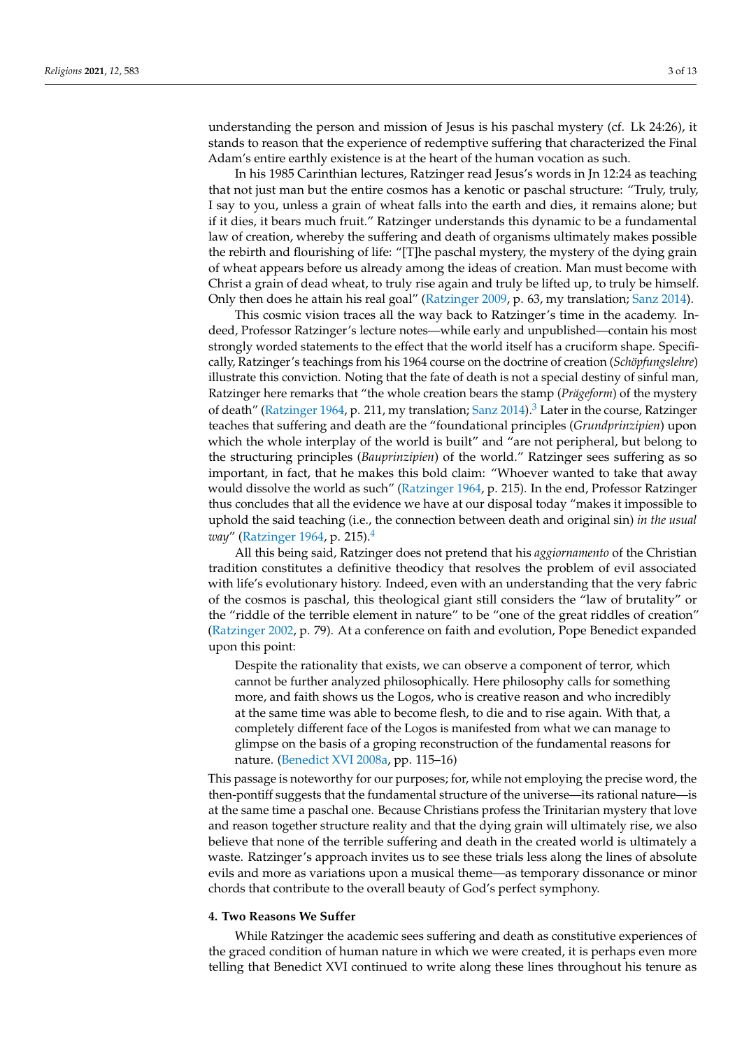understanding the person and mission of Jesus is his paschal mystery (cf. Lk 24:26), it stands to reason that the experience of redemptive suffering that characterized the Final Adam's entire earthly existence is at the heart of the human vocation as such.

In his 1985 Carinthian lectures, Ratzinger read Jesus's words in Jn 12:24 as teaching that not just man but the entire cosmos has a kenotic or paschal structure: "Truly, truly, I say to you, unless a grain of wheat falls into the earth and dies, it remains alone; but if it dies, it bears much fruit." Ratzinger understands this dynamic to be a fundamental law of creation, whereby the suffering and death of organisms ultimately makes possible the rebirth and flourishing of life: "[T]he paschal mystery, the mystery of the dying grain of wheat appears before us already among the ideas of creation. Man must become with Christ a grain of dead wheat, to truly rise again and truly be lifted up, to truly be himself. Only then does he attain his real goal" [\(Ratzinger](#page-12-3) [2009,](#page-12-3) p. 63, my translation; [Sanz](#page-12-5) [2014\)](#page-12-5).

<span id="page-2-0"></span>This cosmic vision traces all the way back to Ratzinger's time in the academy. Indeed, Professor Ratzinger's lecture notes—while early and unpublished—contain his most strongly worded statements to the effect that the world itself has a cruciform shape. Specifically, Ratzinger's teachings from his 1964 course on the doctrine of creation (*Schöpfungslehre*) illustrate this conviction. Noting that the fate of death is not a special destiny of sinful man, Ratzinger here remarks that "the whole creation bears the stamp (*Prägeform*) of the mystery of death" [\(Ratzinger](#page-12-6) [1964,](#page-12-6) p. 211, my translation; [Sanz](#page-12-5) [2014\)](#page-12-5).<sup>[3](#page-11-5)</sup> Later in the course, Ratzinger teaches that suffering and death are the "foundational principles (*Grundprinzipien*) upon which the whole interplay of the world is built" and "are not peripheral, but belong to the structuring principles (*Bauprinzipien*) of the world." Ratzinger sees suffering as so important, in fact, that he makes this bold claim: "Whoever wanted to take that away would dissolve the world as such" [\(Ratzinger](#page-12-6) [1964,](#page-12-6) p. 215). In the end, Professor Ratzinger thus concludes that all the evidence we have at our disposal today "makes it impossible to uphold the said teaching (i.e., the connection between death and original sin) *in the usual way*" [\(Ratzinger](#page-12-6) [1964,](#page-12-6) p. 215).[4](#page-11-6)

<span id="page-2-1"></span>All this being said, Ratzinger does not pretend that his *aggiornamento* of the Christian tradition constitutes a definitive theodicy that resolves the problem of evil associated with life's evolutionary history. Indeed, even with an understanding that the very fabric of the cosmos is paschal, this theological giant still considers the "law of brutality" or the "riddle of the terrible element in nature" to be "one of the great riddles of creation" [\(Ratzinger](#page-12-7) [2002,](#page-12-7) p. 79). At a conference on faith and evolution, Pope Benedict expanded upon this point:

Despite the rationality that exists, we can observe a component of terror, which cannot be further analyzed philosophically. Here philosophy calls for something more, and faith shows us the Logos, who is creative reason and who incredibly at the same time was able to become flesh, to die and to rise again. With that, a completely different face of the Logos is manifested from what we can manage to glimpse on the basis of a groping reconstruction of the fundamental reasons for nature. [\(Benedict XVI](#page-11-7) [2008a,](#page-11-7) pp. 115–16)

This passage is noteworthy for our purposes; for, while not employing the precise word, the then-pontiff suggests that the fundamental structure of the universe—its rational nature—is at the same time a paschal one. Because Christians profess the Trinitarian mystery that love and reason together structure reality and that the dying grain will ultimately rise, we also believe that none of the terrible suffering and death in the created world is ultimately a waste. Ratzinger's approach invites us to see these trials less along the lines of absolute evils and more as variations upon a musical theme—as temporary dissonance or minor chords that contribute to the overall beauty of God's perfect symphony.

#### **4. Two Reasons We Suffer**

While Ratzinger the academic sees suffering and death as constitutive experiences of the graced condition of human nature in which we were created, it is perhaps even more telling that Benedict XVI continued to write along these lines throughout his tenure as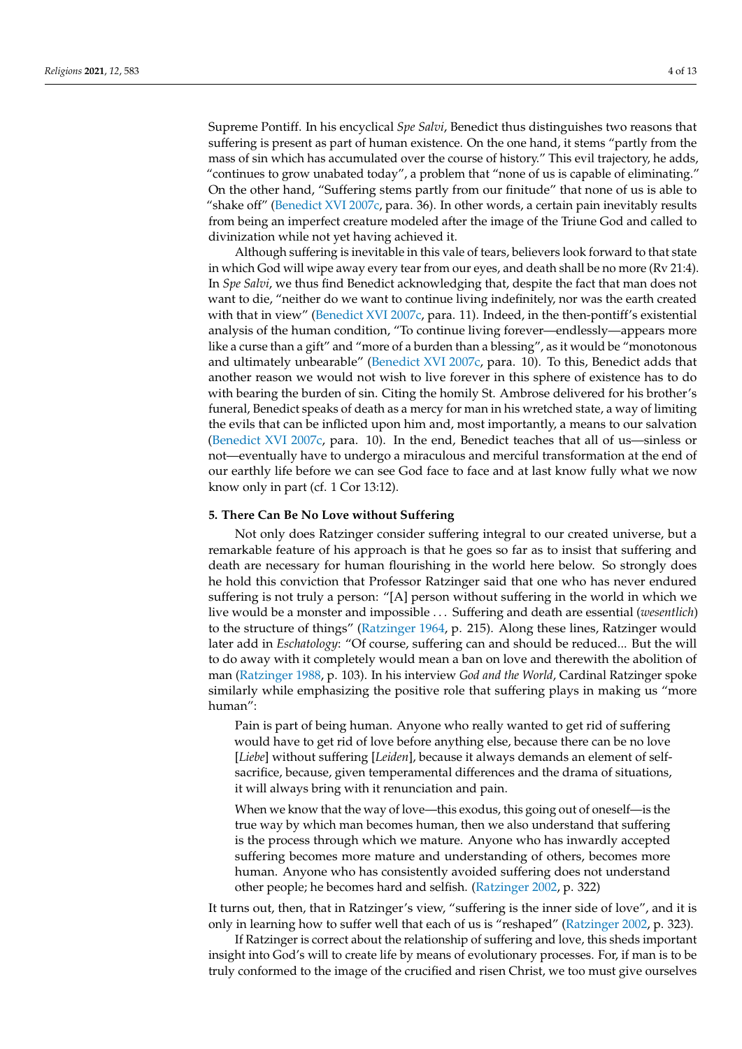Supreme Pontiff. In his encyclical *Spe Salvi*, Benedict thus distinguishes two reasons that suffering is present as part of human existence. On the one hand, it stems "partly from the mass of sin which has accumulated over the course of history." This evil trajectory, he adds, "continues to grow unabated today", a problem that "none of us is capable of eliminating." On the other hand, "Suffering stems partly from our finitude" that none of us is able to "shake off" [\(Benedict XVI](#page-11-8) [2007c,](#page-11-8) para. 36). In other words, a certain pain inevitably results from being an imperfect creature modeled after the image of the Triune God and called to divinization while not yet having achieved it.

Although suffering is inevitable in this vale of tears, believers look forward to that state in which God will wipe away every tear from our eyes, and death shall be no more (Rv 21:4). In *Spe Salvi*, we thus find Benedict acknowledging that, despite the fact that man does not want to die, "neither do we want to continue living indefinitely, nor was the earth created with that in view" [\(Benedict XVI](#page-11-8) [2007c,](#page-11-8) para. 11). Indeed, in the then-pontiff's existential analysis of the human condition, "To continue living forever—endlessly—appears more like a curse than a gift" and "more of a burden than a blessing", as it would be "monotonous and ultimately unbearable" [\(Benedict XVI](#page-11-8) [2007c,](#page-11-8) para. 10). To this, Benedict adds that another reason we would not wish to live forever in this sphere of existence has to do with bearing the burden of sin. Citing the homily St. Ambrose delivered for his brother's funeral, Benedict speaks of death as a mercy for man in his wretched state, a way of limiting the evils that can be inflicted upon him and, most importantly, a means to our salvation [\(Benedict XVI](#page-11-8) [2007c,](#page-11-8) para. 10). In the end, Benedict teaches that all of us—sinless or not—eventually have to undergo a miraculous and merciful transformation at the end of our earthly life before we can see God face to face and at last know fully what we now know only in part (cf. 1 Cor 13:12).

## **5. There Can Be No Love without Suffering**

Not only does Ratzinger consider suffering integral to our created universe, but a remarkable feature of his approach is that he goes so far as to insist that suffering and death are necessary for human flourishing in the world here below. So strongly does he hold this conviction that Professor Ratzinger said that one who has never endured suffering is not truly a person: "[A] person without suffering in the world in which we live would be a monster and impossible . . . Suffering and death are essential (*wesentlich*) to the structure of things" [\(Ratzinger](#page-12-6) [1964,](#page-12-6) p. 215). Along these lines, Ratzinger would later add in *Eschatology*: "Of course, suffering can and should be reduced... But the will to do away with it completely would mean a ban on love and therewith the abolition of man [\(Ratzinger](#page-12-8) [1988,](#page-12-8) p. 103). In his interview *God and the World*, Cardinal Ratzinger spoke similarly while emphasizing the positive role that suffering plays in making us "more human":

Pain is part of being human. Anyone who really wanted to get rid of suffering would have to get rid of love before anything else, because there can be no love [*Liebe*] without suffering [*Leiden*], because it always demands an element of selfsacrifice, because, given temperamental differences and the drama of situations, it will always bring with it renunciation and pain.

When we know that the way of love—this exodus, this going out of oneself—is the true way by which man becomes human, then we also understand that suffering is the process through which we mature. Anyone who has inwardly accepted suffering becomes more mature and understanding of others, becomes more human. Anyone who has consistently avoided suffering does not understand other people; he becomes hard and selfish. [\(Ratzinger](#page-12-7) [2002,](#page-12-7) p. 322)

It turns out, then, that in Ratzinger's view, "suffering is the inner side of love", and it is only in learning how to suffer well that each of us is "reshaped" [\(Ratzinger](#page-12-7) [2002,](#page-12-7) p. 323).

If Ratzinger is correct about the relationship of suffering and love, this sheds important insight into God's will to create life by means of evolutionary processes. For, if man is to be truly conformed to the image of the crucified and risen Christ, we too must give ourselves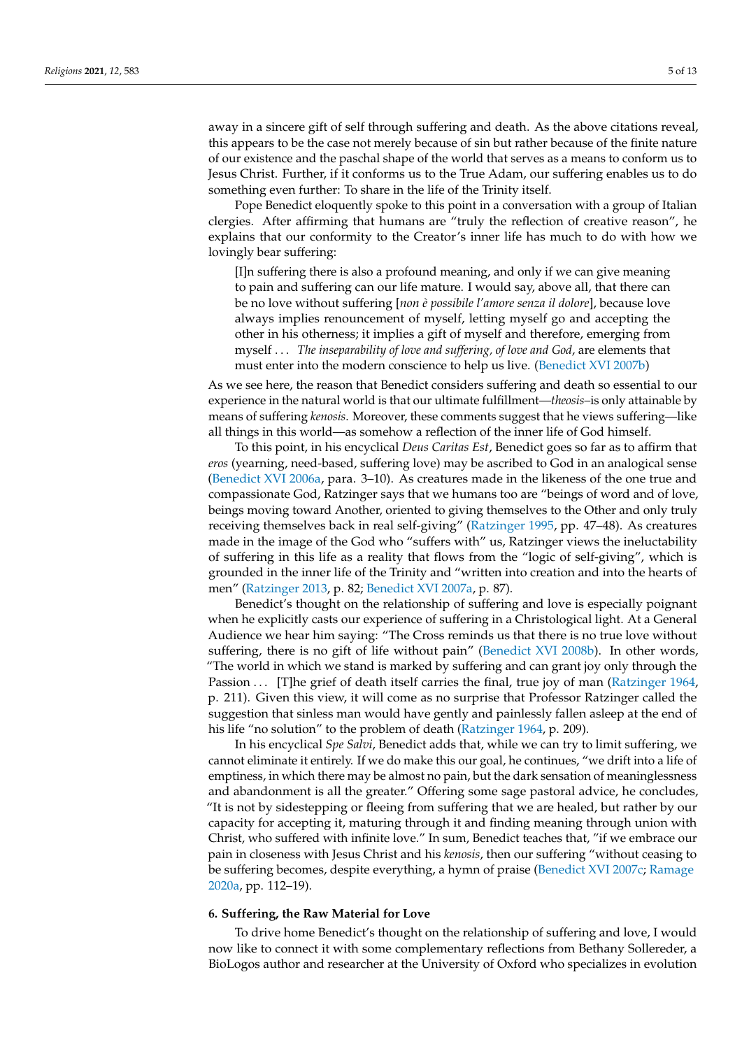away in a sincere gift of self through suffering and death. As the above citations reveal, this appears to be the case not merely because of sin but rather because of the finite nature of our existence and the paschal shape of the world that serves as a means to conform us to Jesus Christ. Further, if it conforms us to the True Adam, our suffering enables us to do something even further: To share in the life of the Trinity itself.

Pope Benedict eloquently spoke to this point in a conversation with a group of Italian clergies. After affirming that humans are "truly the reflection of creative reason", he explains that our conformity to the Creator's inner life has much to do with how we lovingly bear suffering:

[I]n suffering there is also a profound meaning, and only if we can give meaning to pain and suffering can our life mature. I would say, above all, that there can be no love without suffering [*non è possibile l'amore senza il dolore*], because love always implies renouncement of myself, letting myself go and accepting the other in his otherness; it implies a gift of myself and therefore, emerging from myself . . . *The inseparability of love and suffering, of love and God*, are elements that must enter into the modern conscience to help us live. [\(Benedict XVI](#page-11-9) [2007b\)](#page-11-9)

As we see here, the reason that Benedict considers suffering and death so essential to our experience in the natural world is that our ultimate fulfillment—*theosis*–is only attainable by means of suffering *kenosis*. Moreover, these comments suggest that he views suffering—like all things in this world—as somehow a reflection of the inner life of God himself.

To this point, in his encyclical *Deus Caritas Est*, Benedict goes so far as to affirm that *eros* (yearning, need-based, suffering love) may be ascribed to God in an analogical sense [\(Benedict XVI](#page-11-10) [2006a,](#page-11-10) para. 3–10). As creatures made in the likeness of the one true and compassionate God, Ratzinger says that we humans too are "beings of word and of love, beings moving toward Another, oriented to giving themselves to the Other and only truly receiving themselves back in real self-giving" [\(Ratzinger](#page-12-9) [1995,](#page-12-9) pp. 47–48). As creatures made in the image of the God who "suffers with" us, Ratzinger views the ineluctability of suffering in this life as a reality that flows from the "logic of self-giving", which is grounded in the inner life of the Trinity and "written into creation and into the hearts of men" [\(Ratzinger](#page-12-10) [2013,](#page-12-10) p. 82; [Benedict XVI](#page-11-11) [2007a,](#page-11-11) p. 87).

Benedict's thought on the relationship of suffering and love is especially poignant when he explicitly casts our experience of suffering in a Christological light. At a General Audience we hear him saying: "The Cross reminds us that there is no true love without suffering, there is no gift of life without pain" [\(Benedict XVI](#page-11-12) [2008b\)](#page-11-12). In other words, "The world in which we stand is marked by suffering and can grant joy only through the Passion . . . [T]he grief of death itself carries the final, true joy of man [\(Ratzinger](#page-12-6) [1964,](#page-12-6) p. 211). Given this view, it will come as no surprise that Professor Ratzinger called the suggestion that sinless man would have gently and painlessly fallen asleep at the end of his life "no solution" to the problem of death [\(Ratzinger](#page-12-6) [1964,](#page-12-6) p. 209).

In his encyclical *Spe Salvi*, Benedict adds that, while we can try to limit suffering, we cannot eliminate it entirely. If we do make this our goal, he continues, "we drift into a life of emptiness, in which there may be almost no pain, but the dark sensation of meaninglessness and abandonment is all the greater." Offering some sage pastoral advice, he concludes, "It is not by sidestepping or fleeing from suffering that we are healed, but rather by our capacity for accepting it, maturing through it and finding meaning through union with Christ, who suffered with infinite love." In sum, Benedict teaches that, "if we embrace our pain in closeness with Jesus Christ and his *kenosis*, then our suffering "without ceasing to be suffering becomes, despite everything, a hymn of praise [\(Benedict XVI](#page-11-8) [2007c;](#page-11-8) [Ramage](#page-11-13) [2020a,](#page-11-13) pp. 112–19).

#### **6. Suffering, the Raw Material for Love**

To drive home Benedict's thought on the relationship of suffering and love, I would now like to connect it with some complementary reflections from Bethany Sollereder, a BioLogos author and researcher at the University of Oxford who specializes in evolution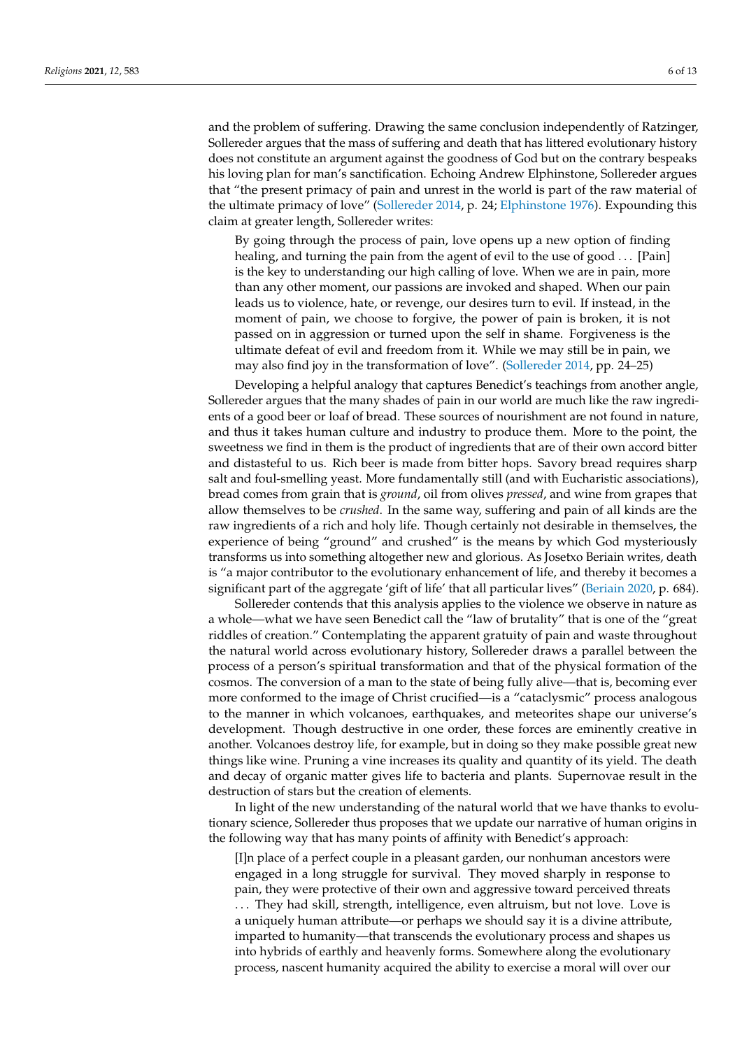and the problem of suffering. Drawing the same conclusion independently of Ratzinger, Sollereder argues that the mass of suffering and death that has littered evolutionary history does not constitute an argument against the goodness of God but on the contrary bespeaks his loving plan for man's sanctification. Echoing Andrew Elphinstone, Sollereder argues that "the present primacy of pain and unrest in the world is part of the raw material of the ultimate primacy of love" [\(Sollereder](#page-12-11) [2014,](#page-12-11) p. 24; [Elphinstone](#page-11-14) [1976\)](#page-11-14). Expounding this claim at greater length, Sollereder writes:

By going through the process of pain, love opens up a new option of finding healing, and turning the pain from the agent of evil to the use of good . . . [Pain] is the key to understanding our high calling of love. When we are in pain, more than any other moment, our passions are invoked and shaped. When our pain leads us to violence, hate, or revenge, our desires turn to evil. If instead, in the moment of pain, we choose to forgive, the power of pain is broken, it is not passed on in aggression or turned upon the self in shame. Forgiveness is the ultimate defeat of evil and freedom from it. While we may still be in pain, we may also find joy in the transformation of love". [\(Sollereder](#page-12-11) [2014,](#page-12-11) pp. 24–25)

Developing a helpful analogy that captures Benedict's teachings from another angle, Sollereder argues that the many shades of pain in our world are much like the raw ingredients of a good beer or loaf of bread. These sources of nourishment are not found in nature, and thus it takes human culture and industry to produce them. More to the point, the sweetness we find in them is the product of ingredients that are of their own accord bitter and distasteful to us. Rich beer is made from bitter hops. Savory bread requires sharp salt and foul-smelling yeast. More fundamentally still (and with Eucharistic associations), bread comes from grain that is *ground*, oil from olives *pressed*, and wine from grapes that allow themselves to be *crushed*. In the same way, suffering and pain of all kinds are the raw ingredients of a rich and holy life. Though certainly not desirable in themselves, the experience of being "ground" and crushed" is the means by which God mysteriously transforms us into something altogether new and glorious. As Josetxo Beriain writes, death is "a major contributor to the evolutionary enhancement of life, and thereby it becomes a significant part of the aggregate 'gift of life' that all particular lives" [\(Beriain](#page-11-15) [2020,](#page-11-15) p. 684).

Sollereder contends that this analysis applies to the violence we observe in nature as a whole—what we have seen Benedict call the "law of brutality" that is one of the "great riddles of creation." Contemplating the apparent gratuity of pain and waste throughout the natural world across evolutionary history, Sollereder draws a parallel between the process of a person's spiritual transformation and that of the physical formation of the cosmos. The conversion of a man to the state of being fully alive—that is, becoming ever more conformed to the image of Christ crucified—is a "cataclysmic" process analogous to the manner in which volcanoes, earthquakes, and meteorites shape our universe's development. Though destructive in one order, these forces are eminently creative in another. Volcanoes destroy life, for example, but in doing so they make possible great new things like wine. Pruning a vine increases its quality and quantity of its yield. The death and decay of organic matter gives life to bacteria and plants. Supernovae result in the destruction of stars but the creation of elements.

In light of the new understanding of the natural world that we have thanks to evolutionary science, Sollereder thus proposes that we update our narrative of human origins in the following way that has many points of affinity with Benedict's approach:

[I]n place of a perfect couple in a pleasant garden, our nonhuman ancestors were engaged in a long struggle for survival. They moved sharply in response to pain, they were protective of their own and aggressive toward perceived threats ... They had skill, strength, intelligence, even altruism, but not love. Love is a uniquely human attribute—or perhaps we should say it is a divine attribute, imparted to humanity—that transcends the evolutionary process and shapes us into hybrids of earthly and heavenly forms. Somewhere along the evolutionary process, nascent humanity acquired the ability to exercise a moral will over our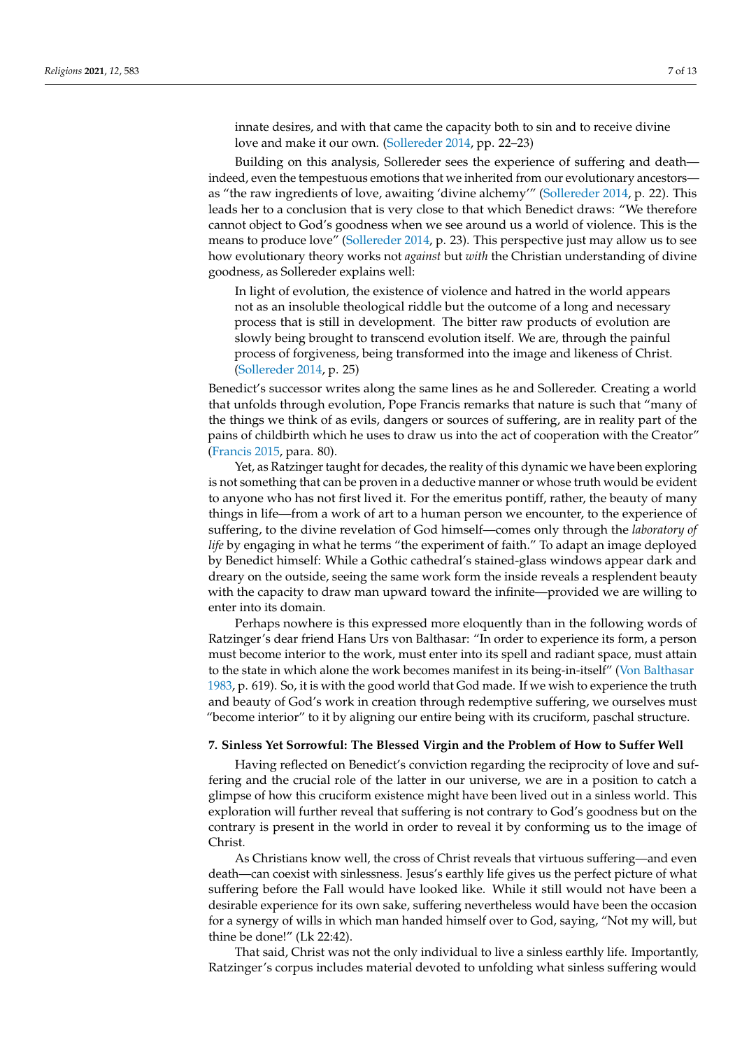innate desires, and with that came the capacity both to sin and to receive divine love and make it our own. [\(Sollereder](#page-12-11) [2014,](#page-12-11) pp. 22–23)

Building on this analysis, Sollereder sees the experience of suffering and death indeed, even the tempestuous emotions that we inherited from our evolutionary ancestors as "the raw ingredients of love, awaiting 'divine alchemy'" [\(Sollereder](#page-12-11) [2014,](#page-12-11) p. 22). This leads her to a conclusion that is very close to that which Benedict draws: "We therefore cannot object to God's goodness when we see around us a world of violence. This is the means to produce love" [\(Sollereder](#page-12-11) [2014,](#page-12-11) p. 23). This perspective just may allow us to see how evolutionary theory works not *against* but *with* the Christian understanding of divine goodness, as Sollereder explains well:

In light of evolution, the existence of violence and hatred in the world appears not as an insoluble theological riddle but the outcome of a long and necessary process that is still in development. The bitter raw products of evolution are slowly being brought to transcend evolution itself. We are, through the painful process of forgiveness, being transformed into the image and likeness of Christ. [\(Sollereder](#page-12-11) [2014,](#page-12-11) p. 25)

Benedict's successor writes along the same lines as he and Sollereder. Creating a world that unfolds through evolution, Pope Francis remarks that nature is such that "many of the things we think of as evils, dangers or sources of suffering, are in reality part of the pains of childbirth which he uses to draw us into the act of cooperation with the Creator" [\(Francis](#page-11-16) [2015,](#page-11-16) para. 80).

Yet, as Ratzinger taught for decades, the reality of this dynamic we have been exploring is not something that can be proven in a deductive manner or whose truth would be evident to anyone who has not first lived it. For the emeritus pontiff, rather, the beauty of many things in life—from a work of art to a human person we encounter, to the experience of suffering, to the divine revelation of God himself—comes only through the *laboratory of life* by engaging in what he terms "the experiment of faith." To adapt an image deployed by Benedict himself: While a Gothic cathedral's stained-glass windows appear dark and dreary on the outside, seeing the same work form the inside reveals a resplendent beauty with the capacity to draw man upward toward the infinite—provided we are willing to enter into its domain.

Perhaps nowhere is this expressed more eloquently than in the following words of Ratzinger's dear friend Hans Urs von Balthasar: "In order to experience its form, a person must become interior to the work, must enter into its spell and radiant space, must attain to the state in which alone the work becomes manifest in its being-in-itself" [\(Von Balthasar](#page-12-12) [1983,](#page-12-12) p. 619). So, it is with the good world that God made. If we wish to experience the truth and beauty of God's work in creation through redemptive suffering, we ourselves must "become interior" to it by aligning our entire being with its cruciform, paschal structure.

## **7. Sinless Yet Sorrowful: The Blessed Virgin and the Problem of How to Suffer Well**

Having reflected on Benedict's conviction regarding the reciprocity of love and suffering and the crucial role of the latter in our universe, we are in a position to catch a glimpse of how this cruciform existence might have been lived out in a sinless world. This exploration will further reveal that suffering is not contrary to God's goodness but on the contrary is present in the world in order to reveal it by conforming us to the image of Christ.

As Christians know well, the cross of Christ reveals that virtuous suffering—and even death—can coexist with sinlessness. Jesus's earthly life gives us the perfect picture of what suffering before the Fall would have looked like. While it still would not have been a desirable experience for its own sake, suffering nevertheless would have been the occasion for a synergy of wills in which man handed himself over to God, saying, "Not my will, but thine be done!" (Lk 22:42).

That said, Christ was not the only individual to live a sinless earthly life. Importantly, Ratzinger's corpus includes material devoted to unfolding what sinless suffering would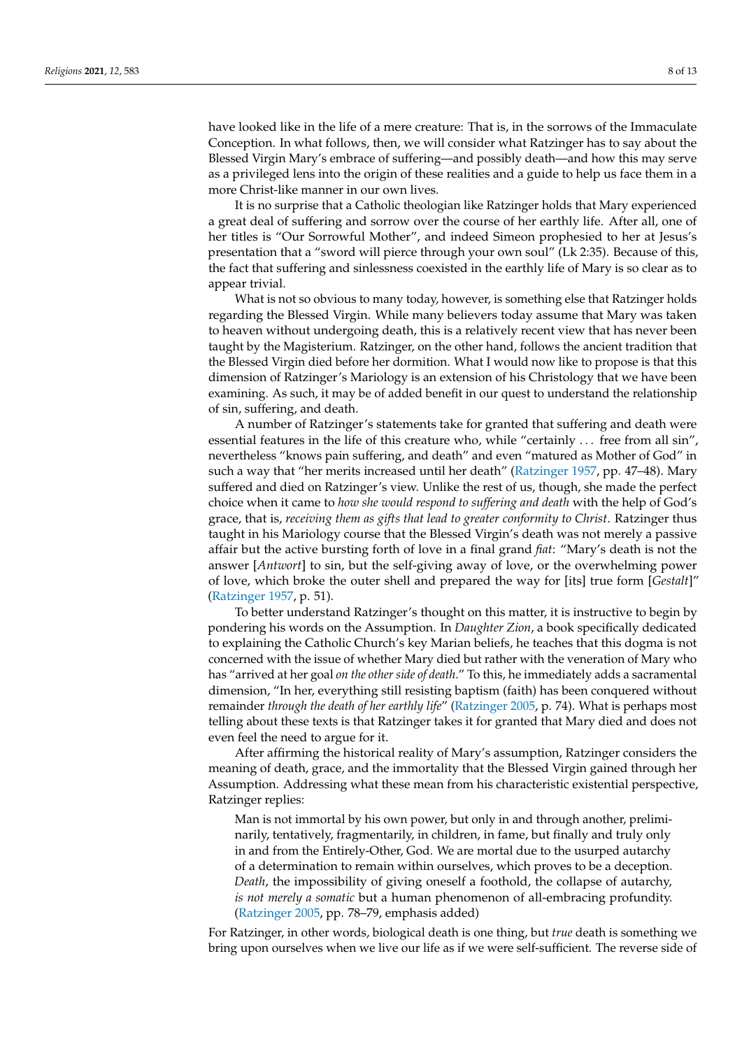have looked like in the life of a mere creature: That is, in the sorrows of the Immaculate Conception. In what follows, then, we will consider what Ratzinger has to say about the Blessed Virgin Mary's embrace of suffering—and possibly death—and how this may serve as a privileged lens into the origin of these realities and a guide to help us face them in a more Christ-like manner in our own lives.

It is no surprise that a Catholic theologian like Ratzinger holds that Mary experienced a great deal of suffering and sorrow over the course of her earthly life. After all, one of her titles is "Our Sorrowful Mother", and indeed Simeon prophesied to her at Jesus's presentation that a "sword will pierce through your own soul" (Lk 2:35). Because of this, the fact that suffering and sinlessness coexisted in the earthly life of Mary is so clear as to appear trivial.

What is not so obvious to many today, however, is something else that Ratzinger holds regarding the Blessed Virgin. While many believers today assume that Mary was taken to heaven without undergoing death, this is a relatively recent view that has never been taught by the Magisterium. Ratzinger, on the other hand, follows the ancient tradition that the Blessed Virgin died before her dormition. What I would now like to propose is that this dimension of Ratzinger's Mariology is an extension of his Christology that we have been examining. As such, it may be of added benefit in our quest to understand the relationship of sin, suffering, and death.

A number of Ratzinger's statements take for granted that suffering and death were essential features in the life of this creature who, while "certainly ... free from all sin", nevertheless "knows pain suffering, and death" and even "matured as Mother of God" in such a way that "her merits increased until her death" [\(Ratzinger](#page-11-2) [1957,](#page-11-2) pp. 47–48). Mary suffered and died on Ratzinger's view. Unlike the rest of us, though, she made the perfect choice when it came to *how she would respond to suffering and death* with the help of God's grace, that is, *receiving them as gifts that lead to greater conformity to Christ*. Ratzinger thus taught in his Mariology course that the Blessed Virgin's death was not merely a passive affair but the active bursting forth of love in a final grand *fiat*: "Mary's death is not the answer [*Antwort*] to sin, but the self-giving away of love, or the overwhelming power of love, which broke the outer shell and prepared the way for [its] true form [*Gestalt*]" [\(Ratzinger](#page-11-2) [1957,](#page-11-2) p. 51).

To better understand Ratzinger's thought on this matter, it is instructive to begin by pondering his words on the Assumption. In *Daughter Zion*, a book specifically dedicated to explaining the Catholic Church's key Marian beliefs, he teaches that this dogma is not concerned with the issue of whether Mary died but rather with the veneration of Mary who has "arrived at her goal *on the other side of death*." To this, he immediately adds a sacramental dimension, "In her, everything still resisting baptism (faith) has been conquered without remainder *through the death of her earthly life*" [\(Ratzinger](#page-12-13) [2005,](#page-12-13) p. 74). What is perhaps most telling about these texts is that Ratzinger takes it for granted that Mary died and does not even feel the need to argue for it.

After affirming the historical reality of Mary's assumption, Ratzinger considers the meaning of death, grace, and the immortality that the Blessed Virgin gained through her Assumption. Addressing what these mean from his characteristic existential perspective, Ratzinger replies:

Man is not immortal by his own power, but only in and through another, preliminarily, tentatively, fragmentarily, in children, in fame, but finally and truly only in and from the Entirely-Other, God. We are mortal due to the usurped autarchy of a determination to remain within ourselves, which proves to be a deception. *Death*, the impossibility of giving oneself a foothold, the collapse of autarchy, *is not merely a somatic* but a human phenomenon of all-embracing profundity. [\(Ratzinger](#page-12-13) [2005,](#page-12-13) pp. 78–79, emphasis added)

For Ratzinger, in other words, biological death is one thing, but *true* death is something we bring upon ourselves when we live our life as if we were self-sufficient. The reverse side of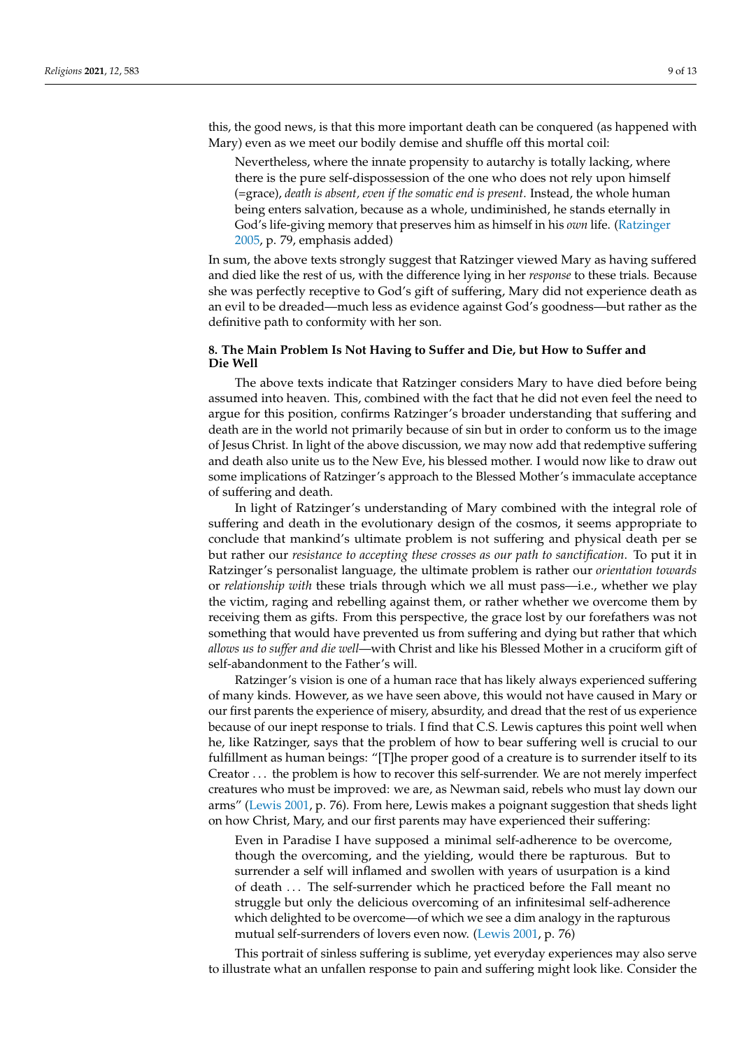this, the good news, is that this more important death can be conquered (as happened with Mary) even as we meet our bodily demise and shuffle off this mortal coil:

Nevertheless, where the innate propensity to autarchy is totally lacking, where there is the pure self-dispossession of the one who does not rely upon himself (=grace), *death is absent, even if the somatic end is present*. Instead, the whole human being enters salvation, because as a whole, undiminished, he stands eternally in God's life-giving memory that preserves him as himself in his *own* life. [\(Ratzinger](#page-12-13) [2005,](#page-12-13) p. 79, emphasis added)

In sum, the above texts strongly suggest that Ratzinger viewed Mary as having suffered and died like the rest of us, with the difference lying in her *response* to these trials. Because she was perfectly receptive to God's gift of suffering, Mary did not experience death as an evil to be dreaded—much less as evidence against God's goodness—but rather as the definitive path to conformity with her son.

## **8. The Main Problem Is Not Having to Suffer and Die, but How to Suffer and Die Well**

The above texts indicate that Ratzinger considers Mary to have died before being assumed into heaven. This, combined with the fact that he did not even feel the need to argue for this position, confirms Ratzinger's broader understanding that suffering and death are in the world not primarily because of sin but in order to conform us to the image of Jesus Christ. In light of the above discussion, we may now add that redemptive suffering and death also unite us to the New Eve, his blessed mother. I would now like to draw out some implications of Ratzinger's approach to the Blessed Mother's immaculate acceptance of suffering and death.

In light of Ratzinger's understanding of Mary combined with the integral role of suffering and death in the evolutionary design of the cosmos, it seems appropriate to conclude that mankind's ultimate problem is not suffering and physical death per se but rather our *resistance to accepting these crosses as our path to sanctification*. To put it in Ratzinger's personalist language, the ultimate problem is rather our *orientation towards* or *relationship with* these trials through which we all must pass—i.e., whether we play the victim, raging and rebelling against them, or rather whether we overcome them by receiving them as gifts. From this perspective, the grace lost by our forefathers was not something that would have prevented us from suffering and dying but rather that which *allows us to suffer and die well*—with Christ and like his Blessed Mother in a cruciform gift of self-abandonment to the Father's will.

Ratzinger's vision is one of a human race that has likely always experienced suffering of many kinds. However, as we have seen above, this would not have caused in Mary or our first parents the experience of misery, absurdity, and dread that the rest of us experience because of our inept response to trials. I find that C.S. Lewis captures this point well when he, like Ratzinger, says that the problem of how to bear suffering well is crucial to our fulfillment as human beings: "[T]he proper good of a creature is to surrender itself to its Creator . . . the problem is how to recover this self-surrender. We are not merely imperfect creatures who must be improved: we are, as Newman said, rebels who must lay down our arms" [\(Lewis](#page-11-17) [2001,](#page-11-17) p. 76). From here, Lewis makes a poignant suggestion that sheds light on how Christ, Mary, and our first parents may have experienced their suffering:

Even in Paradise I have supposed a minimal self-adherence to be overcome, though the overcoming, and the yielding, would there be rapturous. But to surrender a self will inflamed and swollen with years of usurpation is a kind of death . . . The self-surrender which he practiced before the Fall meant no struggle but only the delicious overcoming of an infinitesimal self-adherence which delighted to be overcome—of which we see a dim analogy in the rapturous mutual self-surrenders of lovers even now. [\(Lewis](#page-11-17) [2001,](#page-11-17) p. 76)

This portrait of sinless suffering is sublime, yet everyday experiences may also serve to illustrate what an unfallen response to pain and suffering might look like. Consider the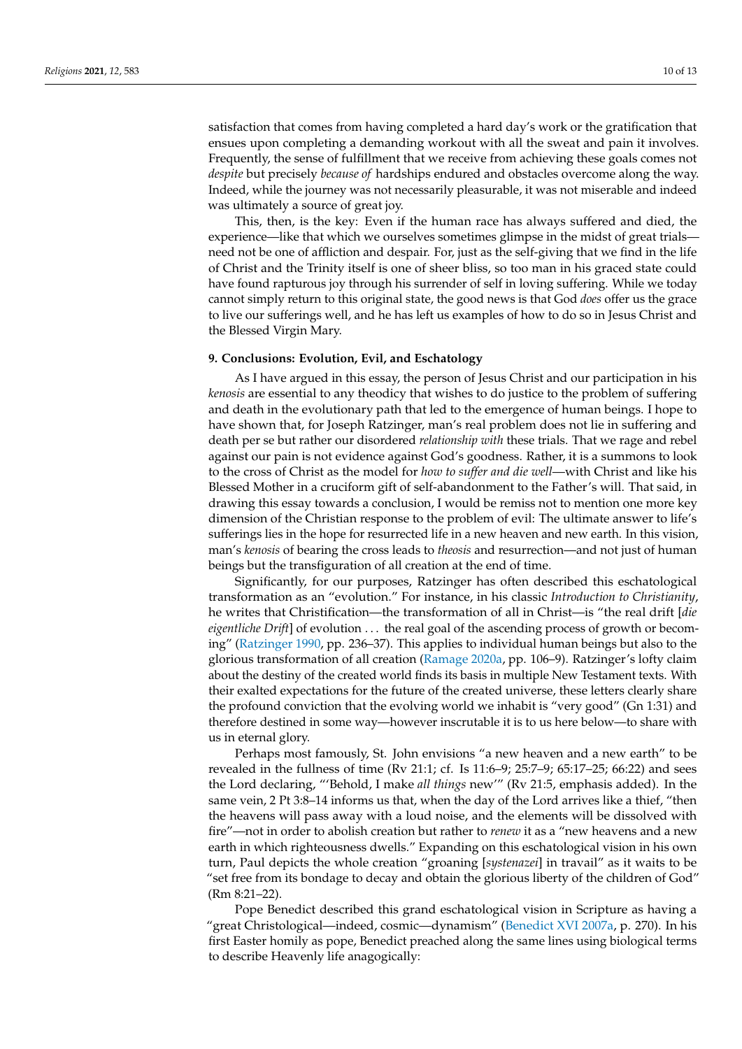satisfaction that comes from having completed a hard day's work or the gratification that ensues upon completing a demanding workout with all the sweat and pain it involves. Frequently, the sense of fulfillment that we receive from achieving these goals comes not *despite* but precisely *because of* hardships endured and obstacles overcome along the way. Indeed, while the journey was not necessarily pleasurable, it was not miserable and indeed was ultimately a source of great joy.

This, then, is the key: Even if the human race has always suffered and died, the experience—like that which we ourselves sometimes glimpse in the midst of great trials need not be one of affliction and despair. For, just as the self-giving that we find in the life of Christ and the Trinity itself is one of sheer bliss, so too man in his graced state could have found rapturous joy through his surrender of self in loving suffering. While we today cannot simply return to this original state, the good news is that God *does* offer us the grace to live our sufferings well, and he has left us examples of how to do so in Jesus Christ and the Blessed Virgin Mary.

#### **9. Conclusions: Evolution, Evil, and Eschatology**

As I have argued in this essay, the person of Jesus Christ and our participation in his *kenosis* are essential to any theodicy that wishes to do justice to the problem of suffering and death in the evolutionary path that led to the emergence of human beings. I hope to have shown that, for Joseph Ratzinger, man's real problem does not lie in suffering and death per se but rather our disordered *relationship with* these trials. That we rage and rebel against our pain is not evidence against God's goodness. Rather, it is a summons to look to the cross of Christ as the model for *how to suffer and die well*—with Christ and like his Blessed Mother in a cruciform gift of self-abandonment to the Father's will. That said, in drawing this essay towards a conclusion, I would be remiss not to mention one more key dimension of the Christian response to the problem of evil: The ultimate answer to life's sufferings lies in the hope for resurrected life in a new heaven and new earth. In this vision, man's *kenosis* of bearing the cross leads to *theosis* and resurrection—and not just of human beings but the transfiguration of all creation at the end of time.

Significantly, for our purposes, Ratzinger has often described this eschatological transformation as an "evolution." For instance, in his classic *Introduction to Christianity*, he writes that Christification—the transformation of all in Christ—is "the real drift [*die eigentliche Drift*] of evolution . . . the real goal of the ascending process of growth or becoming" [\(Ratzinger](#page-12-0) [1990,](#page-12-0) pp. 236–37). This applies to individual human beings but also to the glorious transformation of all creation [\(Ramage](#page-11-13) [2020a,](#page-11-13) pp. 106–9). Ratzinger's lofty claim about the destiny of the created world finds its basis in multiple New Testament texts. With their exalted expectations for the future of the created universe, these letters clearly share the profound conviction that the evolving world we inhabit is "very good" (Gn 1:31) and therefore destined in some way—however inscrutable it is to us here below—to share with us in eternal glory.

Perhaps most famously, St. John envisions "a new heaven and a new earth" to be revealed in the fullness of time (Rv 21:1; cf. Is 11:6–9; 25:7–9; 65:17–25; 66:22) and sees the Lord declaring, "'Behold, I make *all things* new'" (Rv 21:5, emphasis added). In the same vein, 2 Pt 3:8–14 informs us that, when the day of the Lord arrives like a thief, "then the heavens will pass away with a loud noise, and the elements will be dissolved with fire"—not in order to abolish creation but rather to *renew* it as a "new heavens and a new earth in which righteousness dwells." Expanding on this eschatological vision in his own turn, Paul depicts the whole creation "groaning [*systenazei*] in travail" as it waits to be "set free from its bondage to decay and obtain the glorious liberty of the children of God" (Rm 8:21–22).

Pope Benedict described this grand eschatological vision in Scripture as having a "great Christological—indeed, cosmic—dynamism" [\(Benedict XVI](#page-11-11) [2007a,](#page-11-11) p. 270). In his first Easter homily as pope, Benedict preached along the same lines using biological terms to describe Heavenly life anagogically: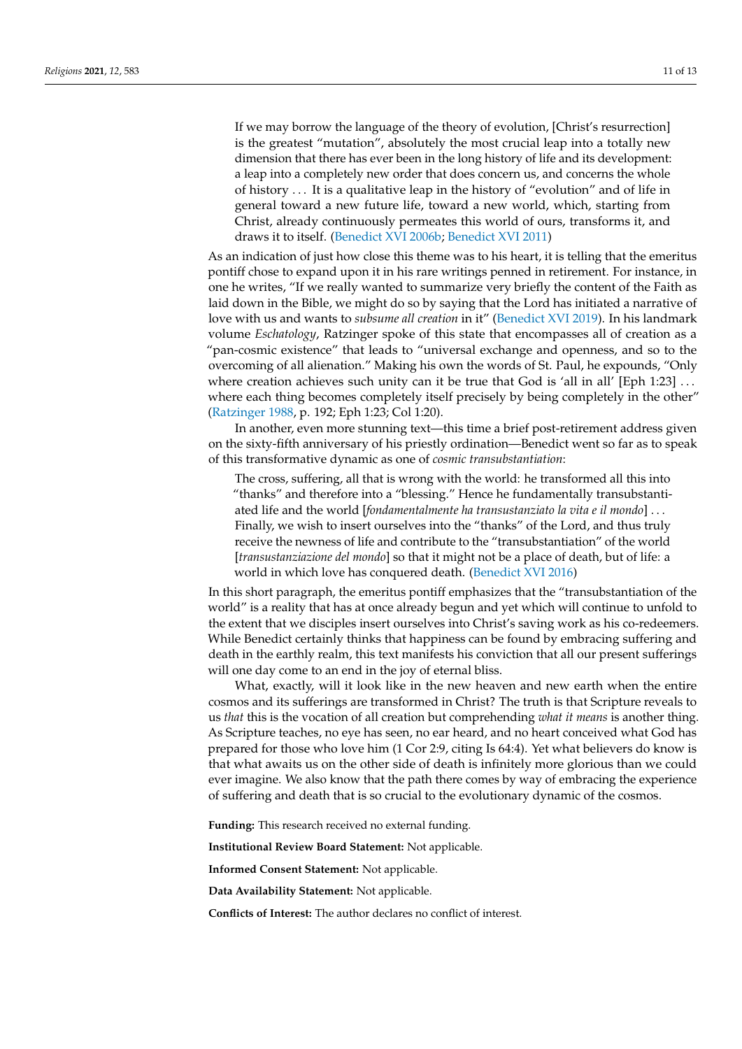If we may borrow the language of the theory of evolution, [Christ's resurrection] is the greatest "mutation", absolutely the most crucial leap into a totally new dimension that there has ever been in the long history of life and its development: a leap into a completely new order that does concern us, and concerns the whole of history . . . It is a qualitative leap in the history of "evolution" and of life in general toward a new future life, toward a new world, which, starting from Christ, already continuously permeates this world of ours, transforms it, and draws it to itself. [\(Benedict XVI](#page-11-18) [2006b;](#page-11-18) [Benedict XVI](#page-11-19) [2011\)](#page-11-19)

As an indication of just how close this theme was to his heart, it is telling that the emeritus pontiff chose to expand upon it in his rare writings penned in retirement. For instance, in one he writes, "If we really wanted to summarize very briefly the content of the Faith as laid down in the Bible, we might do so by saying that the Lord has initiated a narrative of love with us and wants to *subsume all creation* in it" [\(Benedict XVI](#page-11-20) [2019\)](#page-11-20). In his landmark volume *Eschatology*, Ratzinger spoke of this state that encompasses all of creation as a "pan-cosmic existence" that leads to "universal exchange and openness, and so to the overcoming of all alienation." Making his own the words of St. Paul, he expounds, "Only where creation achieves such unity can it be true that God is 'all in all' [Eph 1:23] ... where each thing becomes completely itself precisely by being completely in the other" [\(Ratzinger](#page-12-8) [1988,](#page-12-8) p. 192; Eph 1:23; Col 1:20).

In another, even more stunning text—this time a brief post-retirement address given on the sixty-fifth anniversary of his priestly ordination—Benedict went so far as to speak of this transformative dynamic as one of *cosmic transubstantiation*:

The cross, suffering, all that is wrong with the world: he transformed all this into "thanks" and therefore into a "blessing." Hence he fundamentally transubstantiated life and the world [*fondamentalmente ha transustanziato la vita e il mondo*] . . . Finally, we wish to insert ourselves into the "thanks" of the Lord, and thus truly receive the newness of life and contribute to the "transubstantiation" of the world [*transustanziazione del mondo*] so that it might not be a place of death, but of life: a world in which love has conquered death. [\(Benedict XVI](#page-11-21) [2016\)](#page-11-21)

In this short paragraph, the emeritus pontiff emphasizes that the "transubstantiation of the world" is a reality that has at once already begun and yet which will continue to unfold to the extent that we disciples insert ourselves into Christ's saving work as his co-redeemers. While Benedict certainly thinks that happiness can be found by embracing suffering and death in the earthly realm, this text manifests his conviction that all our present sufferings will one day come to an end in the joy of eternal bliss.

What, exactly, will it look like in the new heaven and new earth when the entire cosmos and its sufferings are transformed in Christ? The truth is that Scripture reveals to us *that* this is the vocation of all creation but comprehending *what it means* is another thing. As Scripture teaches, no eye has seen, no ear heard, and no heart conceived what God has prepared for those who love him (1 Cor 2:9, citing Is 64:4). Yet what believers do know is that what awaits us on the other side of death is infinitely more glorious than we could ever imagine. We also know that the path there comes by way of embracing the experience of suffering and death that is so crucial to the evolutionary dynamic of the cosmos.

**Funding:** This research received no external funding.

**Institutional Review Board Statement:** Not applicable.

**Informed Consent Statement:** Not applicable.

**Data Availability Statement:** Not applicable.

**Conflicts of Interest:** The author declares no conflict of interest.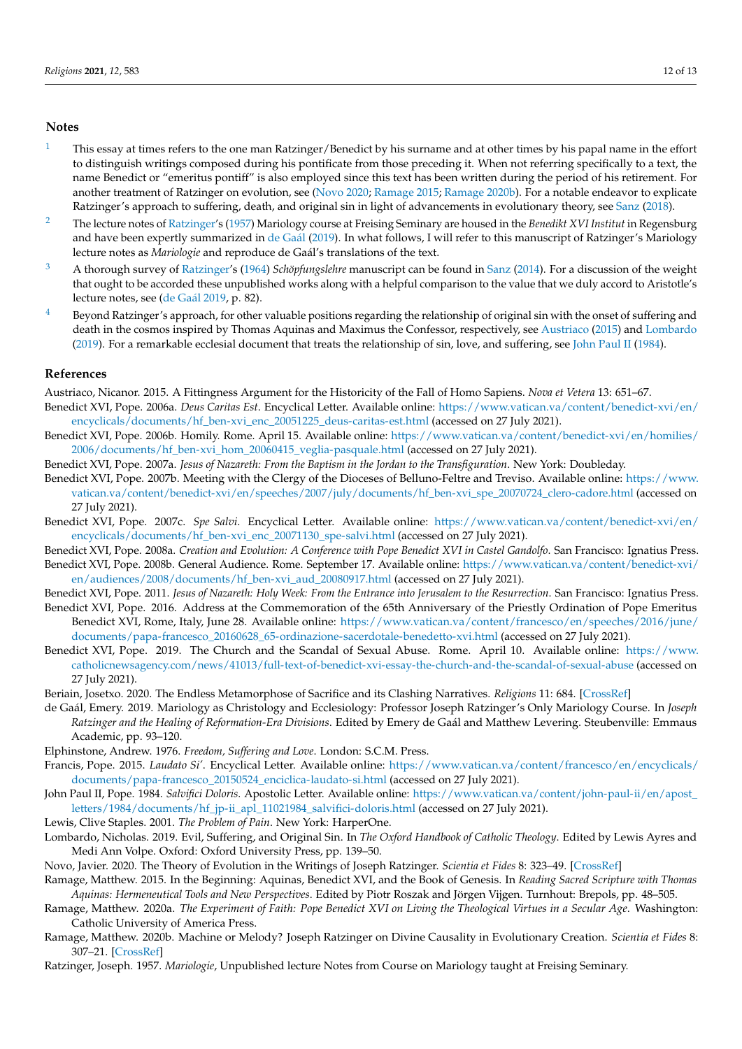#### **Notes**

- <span id="page-11-1"></span>[1](#page-0-0) This essay at times refers to the one man Ratzinger/Benedict by his surname and at other times by his papal name in the effort to distinguish writings composed during his pontificate from those preceding it. When not referring specifically to a text, the name Benedict or "emeritus pontiff" is also employed since this text has been written during the period of his retirement. For another treatment of Ratzinger on evolution, see [\(Novo](#page-11-22) [2020;](#page-11-22) [Ramage](#page-11-24) [2015;](#page-11-23) Ramage [2020b\)](#page-11-24). For a notable endeavor to explicate Ratzinger's approach to suffering, death, and original sin in light of advancements in evolutionary theory, see [Sanz](#page-12-14) [\(2018\)](#page-12-14).
- <span id="page-11-4"></span>[2](#page-1-0) The lecture notes of [Ratzinger'](#page-11-2)s [\(1957\)](#page-11-2) Mariology course at Freising Seminary are housed in the *Benedikt XVI Institut* in Regensburg and have been expertly summarized in [de Ga](#page-11-3)ál [\(2019\)](#page-11-3). In what follows, I will refer to this manuscript of Ratzinger's Mariology lecture notes as *Mariologie* and reproduce de Gaál's translations of the text.
- <span id="page-11-5"></span>[3](#page-2-0) A thorough survey of [Ratzinger'](#page-12-6)s [\(1964\)](#page-12-6) *Schöpfungslehre* manuscript can be found in [Sanz](#page-12-5) [\(2014\)](#page-12-5). For a discussion of the weight that ought to be accorded these unpublished works along with a helpful comparison to the value that we duly accord to Aristotle's lecture notes, see [\(de Ga](#page-11-3)ál [2019,](#page-11-3) p. 82).
- <span id="page-11-6"></span><sup>[4](#page-2-1)</sup> Beyond Ratzinger's approach, for other valuable positions regarding the relationship of original sin with the onset of suffering and death in the cosmos inspired by Thomas Aquinas and Maximus the Confessor, respectively, see [Austriaco](#page-11-25) [\(2015\)](#page-11-25) and [Lombardo](#page-11-0) [\(2019\)](#page-11-0). For a remarkable ecclesial document that treats the relationship of sin, love, and suffering, see [John Paul II](#page-11-26) [\(1984\)](#page-11-26).

## **References**

<span id="page-11-25"></span>Austriaco, Nicanor. 2015. A Fittingness Argument for the Historicity of the Fall of Homo Sapiens. *Nova et Vetera* 13: 651–67.

- <span id="page-11-10"></span>Benedict XVI, Pope. 2006a. *Deus Caritas Est*. Encyclical Letter. Available online: [https://www.vatican.va/content/benedict-xvi/en/](https://www.vatican.va/content/benedict-xvi/en/encyclicals/documents/hf_ben-xvi_enc_20051225_deus-caritas-est.html) [encyclicals/documents/hf\\_ben-xvi\\_enc\\_20051225\\_deus-caritas-est.html](https://www.vatican.va/content/benedict-xvi/en/encyclicals/documents/hf_ben-xvi_enc_20051225_deus-caritas-est.html) (accessed on 27 July 2021).
- <span id="page-11-18"></span>Benedict XVI, Pope. 2006b. Homily. Rome. April 15. Available online: [https://www.vatican.va/content/benedict-xvi/en/homilies/](https://www.vatican.va/content/benedict-xvi/en/homilies/2006/documents/hf_ben-xvi_hom_20060415_veglia-pasquale.html) [2006/documents/hf\\_ben-xvi\\_hom\\_20060415\\_veglia-pasquale.html](https://www.vatican.va/content/benedict-xvi/en/homilies/2006/documents/hf_ben-xvi_hom_20060415_veglia-pasquale.html) (accessed on 27 July 2021).
- <span id="page-11-11"></span>Benedict XVI, Pope. 2007a. *Jesus of Nazareth: From the Baptism in the Jordan to the Transfiguration*. New York: Doubleday.
- <span id="page-11-9"></span>Benedict XVI, Pope. 2007b. Meeting with the Clergy of the Dioceses of Belluno-Feltre and Treviso. Available online: [https://www.](https://www.vatican.va/content/benedict-xvi/en/speeches/2007/july/documents/hf_ben-xvi_spe_20070724_clero-cadore.html) [vatican.va/content/benedict-xvi/en/speeches/2007/july/documents/hf\\_ben-xvi\\_spe\\_20070724\\_clero-cadore.html](https://www.vatican.va/content/benedict-xvi/en/speeches/2007/july/documents/hf_ben-xvi_spe_20070724_clero-cadore.html) (accessed on 27 July 2021).
- <span id="page-11-8"></span>Benedict XVI, Pope. 2007c. *Spe Salvi*. Encyclical Letter. Available online: [https://www.vatican.va/content/benedict-xvi/en/](https://www.vatican.va/content/benedict-xvi/en/encyclicals/documents/hf_ben-xvi_enc_20071130_spe-salvi.html) [encyclicals/documents/hf\\_ben-xvi\\_enc\\_20071130\\_spe-salvi.html](https://www.vatican.va/content/benedict-xvi/en/encyclicals/documents/hf_ben-xvi_enc_20071130_spe-salvi.html) (accessed on 27 July 2021).

<span id="page-11-7"></span>Benedict XVI, Pope. 2008a. Creation and Evolution: A Conference with Pope Benedict XVI in Castel Gandolfo. San Francisco: Ignatius Press.

- <span id="page-11-12"></span>Benedict XVI, Pope. 2008b. General Audience. Rome. September 17. Available online: [https://www.vatican.va/content/benedict-xvi/](https://www.vatican.va/content/benedict-xvi/en/audiences/2008/documents/hf_ben-xvi_aud_20080917.html) [en/audiences/2008/documents/hf\\_ben-xvi\\_aud\\_20080917.html](https://www.vatican.va/content/benedict-xvi/en/audiences/2008/documents/hf_ben-xvi_aud_20080917.html) (accessed on 27 July 2021).
- <span id="page-11-19"></span>Benedict XVI, Pope. 2011. *Jesus of Nazareth: Holy Week: From the Entrance into Jerusalem to the Resurrection*. San Francisco: Ignatius Press.
- <span id="page-11-21"></span>Benedict XVI, Pope. 2016. Address at the Commemoration of the 65th Anniversary of the Priestly Ordination of Pope Emeritus Benedict XVI, Rome, Italy, June 28. Available online: [https://www.vatican.va/content/francesco/en/speeches/2016/june/](https://www.vatican.va/content/francesco/en/speeches/2016/june/documents/papa-francesco_20160628_65-ordinazione-sacerdotale-benedetto-xvi.html) [documents/papa-francesco\\_20160628\\_65-ordinazione-sacerdotale-benedetto-xvi.html](https://www.vatican.va/content/francesco/en/speeches/2016/june/documents/papa-francesco_20160628_65-ordinazione-sacerdotale-benedetto-xvi.html) (accessed on 27 July 2021).
- <span id="page-11-20"></span>Benedict XVI, Pope. 2019. The Church and the Scandal of Sexual Abuse. Rome. April 10. Available online: [https://www.](https://www.catholicnewsagency.com/news/41013/full-text-of-benedict-xvi-essay-the-church-and-the-scandal-of-sexual-abuse) [catholicnewsagency.com/news/41013/full-text-of-benedict-xvi-essay-the-church-and-the-scandal-of-sexual-abuse](https://www.catholicnewsagency.com/news/41013/full-text-of-benedict-xvi-essay-the-church-and-the-scandal-of-sexual-abuse) (accessed on 27 July 2021).
- <span id="page-11-15"></span>Beriain, Josetxo. 2020. The Endless Metamorphose of Sacrifice and its Clashing Narratives. *Religions* 11: 684. [\[CrossRef\]](http://doi.org/10.3390/rel11120684)
- <span id="page-11-3"></span>de Gaál, Emery. 2019. Mariology as Christology and Ecclesiology: Professor Joseph Ratzinger's Only Mariology Course. In *Joseph Ratzinger and the Healing of Reformation-Era Divisions*. Edited by Emery de Gaál and Matthew Levering. Steubenville: Emmaus Academic, pp. 93–120.
- <span id="page-11-14"></span>Elphinstone, Andrew. 1976. *Freedom, Suffering and Love*. London: S.C.M. Press.
- <span id="page-11-16"></span>Francis, Pope. 2015. *Laudato Si'*. Encyclical Letter. Available online: [https://www.vatican.va/content/francesco/en/encyclicals/](https://www.vatican.va/content/francesco/en/encyclicals/documents/papa-francesco_20150524_enciclica-laudato-si.html) [documents/papa-francesco\\_20150524\\_enciclica-laudato-si.html](https://www.vatican.va/content/francesco/en/encyclicals/documents/papa-francesco_20150524_enciclica-laudato-si.html) (accessed on 27 July 2021).
- <span id="page-11-26"></span>John Paul II, Pope. 1984. *Salvifici Doloris*. Apostolic Letter. Available online: [https://www.vatican.va/content/john-paul-ii/en/apost\\_](https://www.vatican.va/content/john-paul-ii/en/apost_letters/1984/documents/hf_jp-ii_apl_11021984_salvifici-doloris.html) [letters/1984/documents/hf\\_jp-ii\\_apl\\_11021984\\_salvifici-doloris.html](https://www.vatican.va/content/john-paul-ii/en/apost_letters/1984/documents/hf_jp-ii_apl_11021984_salvifici-doloris.html) (accessed on 27 July 2021).

<span id="page-11-17"></span>Lewis, Clive Staples. 2001. *The Problem of Pain*. New York: HarperOne.

- <span id="page-11-0"></span>Lombardo, Nicholas. 2019. Evil, Suffering, and Original Sin. In *The Oxford Handbook of Catholic Theology*. Edited by Lewis Ayres and Medi Ann Volpe. Oxford: Oxford University Press, pp. 139–50.
- <span id="page-11-22"></span>Novo, Javier. 2020. The Theory of Evolution in the Writings of Joseph Ratzinger. *Scientia et Fides* 8: 323–49. [\[CrossRef\]](http://doi.org/10.12775/SetF.2020.024)
- <span id="page-11-23"></span>Ramage, Matthew. 2015. In the Beginning: Aquinas, Benedict XVI, and the Book of Genesis. In *Reading Sacred Scripture with Thomas Aquinas: Hermeneutical Tools and New Perspectives*. Edited by Piotr Roszak and Jörgen Vijgen. Turnhout: Brepols, pp. 48–505.
- <span id="page-11-13"></span>Ramage, Matthew. 2020a. *The Experiment of Faith: Pope Benedict XVI on Living the Theological Virtues in a Secular Age*. Washington: Catholic University of America Press.
- <span id="page-11-24"></span>Ramage, Matthew. 2020b. Machine or Melody? Joseph Ratzinger on Divine Causality in Evolutionary Creation. *Scientia et Fides* 8: 307–21. [\[CrossRef\]](http://doi.org/10.12775/SetF.2020.023)
- <span id="page-11-2"></span>Ratzinger, Joseph. 1957. *Mariologie*, Unpublished lecture Notes from Course on Mariology taught at Freising Seminary.